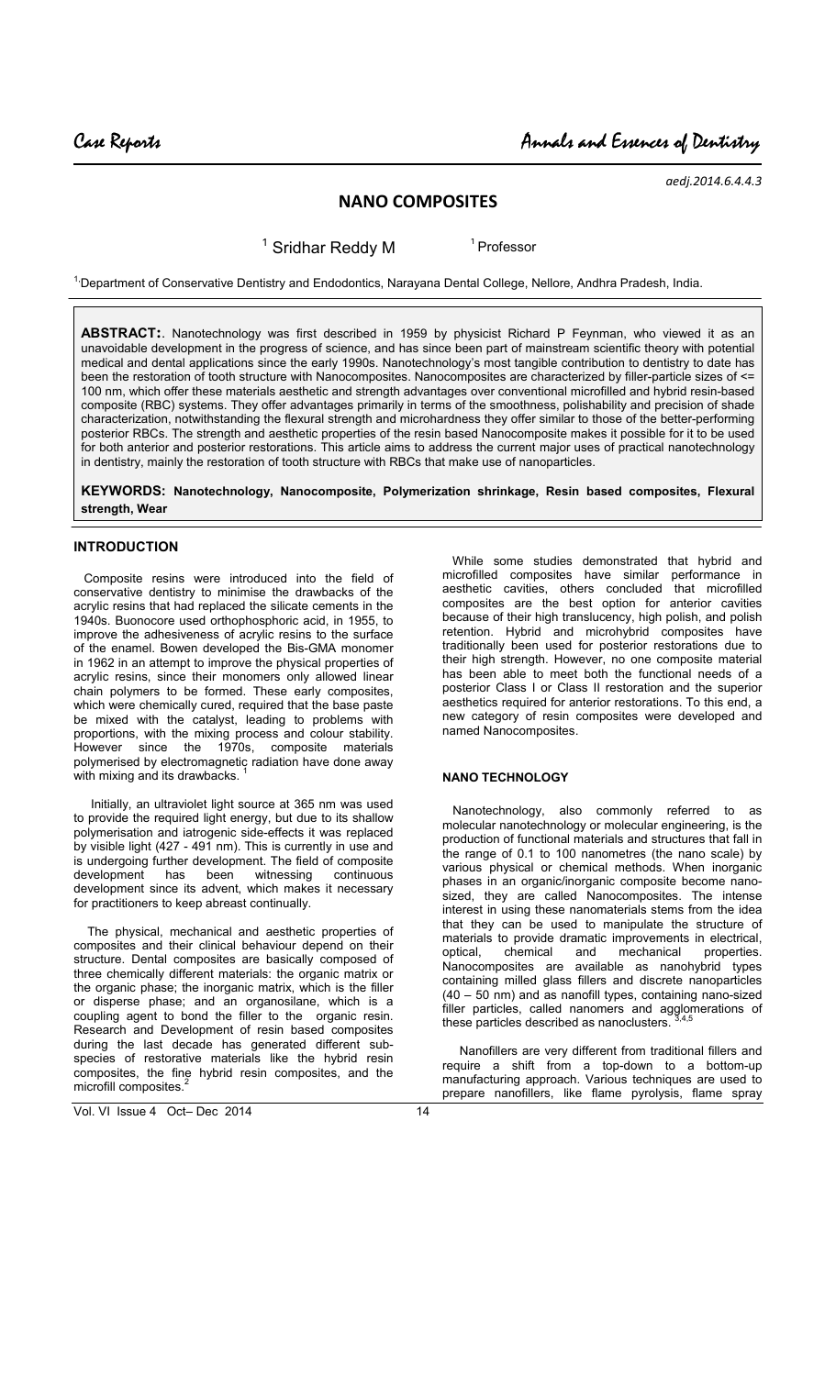*aedj.2014.6.4.4.3*

# **NANO COMPOSITES**

<sup>1</sup> Sridhar Reddy M <sup>1</sup> Professor

<sup>1,</sup>Department of Conservative Dentistry and Endodontics, Narayana Dental College, Nellore, Andhra Pradesh, India.

**ABSTRACT:**. Nanotechnology was first described in 1959 by physicist Richard P Feynman, who viewed it as an unavoidable development in the progress of science, and has since been part of mainstream scientific theory with potential medical and dental applications since the early 1990s. Nanotechnology's most tangible contribution to dentistry to date has been the restoration of tooth structure with Nanocomposites. Nanocomposites are characterized by filler-particle sizes of <= 100 nm, which offer these materials aesthetic and strength advantages over conventional microfilled and hybrid resin-based composite (RBC) systems. They offer advantages primarily in terms of the smoothness, polishability and precision of shade characterization, notwithstanding the flexural strength and microhardness they offer similar to those of the better-performing posterior RBCs. The strength and aesthetic properties of the resin based Nanocomposite makes it possible for it to be used for both anterior and posterior restorations. This article aims to address the current major uses of practical nanotechnology in dentistry, mainly the restoration of tooth structure with RBCs that make use of nanoparticles.

**KEYWORDS: Nanotechnology, Nanocomposite, Polymerization shrinkage, Resin based composites, Flexural strength, Wear**

### **INTRODUCTION**

 Composite resins were introduced into the field of conservative dentistry to minimise the drawbacks of the acrylic resins that had replaced the silicate cements in the 1940s. Buonocore used orthophosphoric acid, in 1955, to improve the adhesiveness of acrylic resins to the surface of the enamel. Bowen developed the Bis-GMA monomer in 1962 in an attempt to improve the physical properties of acrylic resins, since their monomers only allowed linear chain polymers to be formed. These early composites, which were chemically cured, required that the base paste be mixed with the catalyst, leading to problems with proportions, with the mixing process and colour stability. However since the 1970s, composite materials polymerised by electromagnetic radiation have done away with mixing and its drawbacks.

 Initially, an ultraviolet light source at 365 nm was used to provide the required light energy, but due to its shallow polymerisation and iatrogenic side-effects it was replaced by visible light (427 - 491 nm). This is currently in use and is undergoing further development. The field of composite development has been witnessing continuous development has been witnessing continuous development since its advent, which makes it necessary for practitioners to keep abreast continually.

 The physical, mechanical and aesthetic properties of composites and their clinical behaviour depend on their structure. Dental composites are basically composed of three chemically different materials: the organic matrix or the organic phase; the inorganic matrix, which is the filler or disperse phase; and an organosilane, which is a coupling agent to bond the filler to the organic resin. Research and Development of resin based composites during the last decade has generated different subspecies of restorative materials like the hybrid resin composites, the fine hybrid resin composites, and the microfill composites.<sup>2</sup>

 While some studies demonstrated that hybrid and microfilled composites have similar performance in aesthetic cavities, others concluded that microfilled composites are the best option for anterior cavities because of their high translucency, high polish, and polish retention. Hybrid and microhybrid composites have traditionally been used for posterior restorations due to their high strength. However, no one composite material has been able to meet both the functional needs of a posterior Class I or Class II restoration and the superior aesthetics required for anterior restorations. To this end, a new category of resin composites were developed and named Nanocomposites.

## **NANO TECHNOLOGY**

 Nanotechnology, also commonly referred to as molecular nanotechnology or molecular engineering, is the production of functional materials and structures that fall in the range of 0.1 to 100 nanometres (the nano scale) by various physical or chemical methods. When inorganic phases in an organic/inorganic composite become nanosized, they are called Nanocomposites. The intense interest in using these nanomaterials stems from the idea that they can be used to manipulate the structure of materials to provide dramatic improvements in electrical,<br>optical. chemical and mechanical properties. chemical and mechanical properties. Nanocomposites are available as nanohybrid types containing milled glass fillers and discrete nanoparticles (40 – 50 nm) and as nanofill types, containing nano-sized filler particles, called nanomers and agglomerations of these particles described as nanoclusters.

 Nanofillers are very different from traditional fillers and require a shift from a top-down to a bottom-up manufacturing approach. Various techniques are used to prepare nanofillers, like flame pyrolysis, flame spray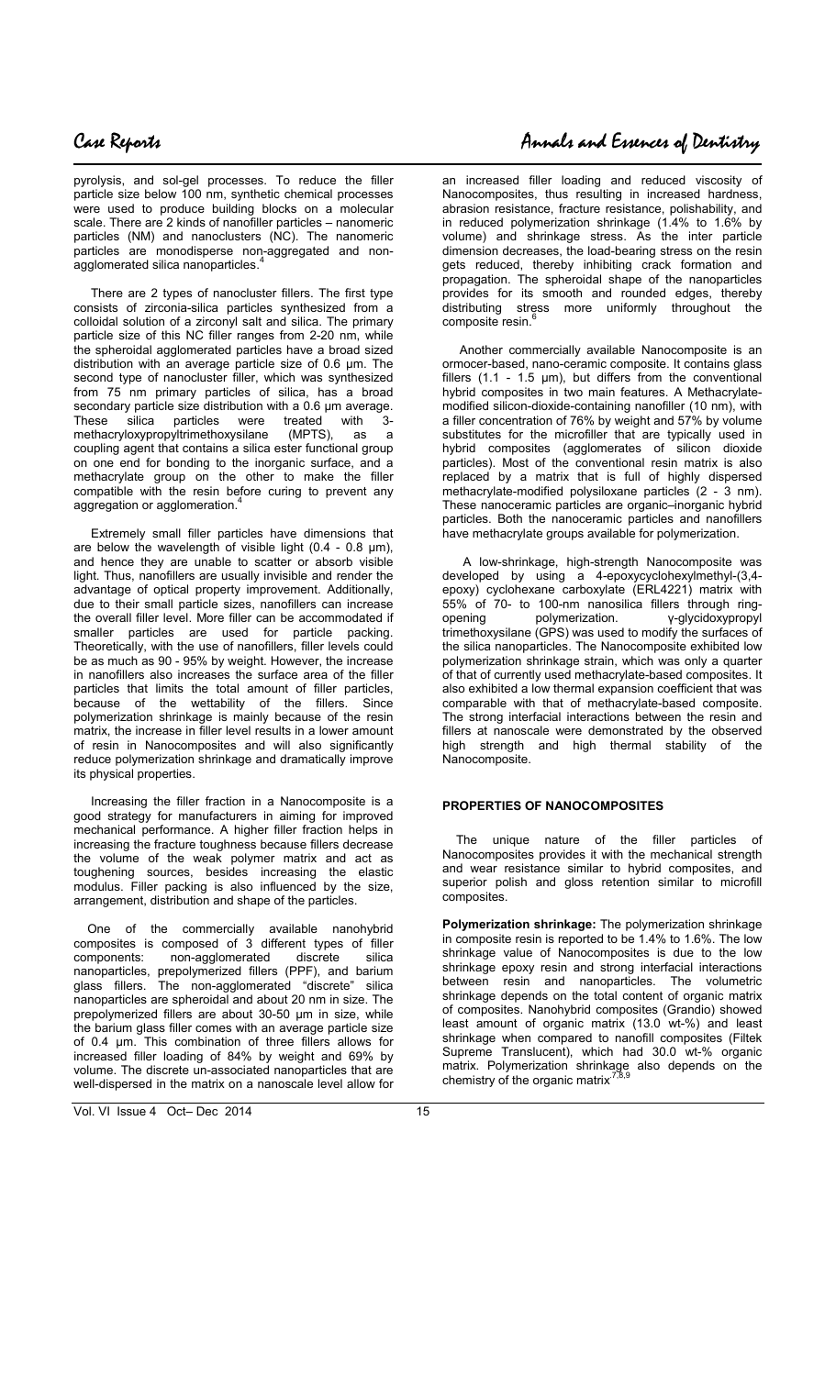$\overline{\phantom{a}}$ 

pyrolysis, and sol-gel processes. To reduce the filler particle size below 100 nm, synthetic chemical processes were used to produce building blocks on a molecular scale. There are 2 kinds of nanofiller particles – nanomeric particles (NM) and nanoclusters (NC). The nanomeric particles are monodisperse non-aggregated and nonagglomerated silica nanoparticles.

 There are 2 types of nanocluster fillers. The first type consists of zirconia-silica particles synthesized from a colloidal solution of a zirconyl salt and silica. The primary particle size of this NC filler ranges from 2-20 nm, while the spheroidal agglomerated particles have a broad sized distribution with an average particle size of 0.6 µm. The second type of nanocluster filler, which was synthesized from 75 nm primary particles of silica, has a broad secondary particle size distribution with a 0.6 µm average. These silica particles were treated with 3-<br>methacryloxypropyltrimethoxysilane (MPTS), as a methacryloxypropyltrimethoxysilane (MPTS), as a coupling agent that contains a silica ester functional group on one end for bonding to the inorganic surface, and a methacrylate group on the other to make the filler compatible with the resin before curing to prevent any aggregation or agglomeration.<sup>4</sup>

 Extremely small filler particles have dimensions that are below the wavelength of visible light  $(0.4 - 0.8 \mu m)$ , and hence they are unable to scatter or absorb visible light. Thus, nanofillers are usually invisible and render the advantage of optical property improvement. Additionally, due to their small particle sizes, nanofillers can increase the overall filler level. More filler can be accommodated if smaller particles are used for particle packing. Theoretically, with the use of nanofillers, filler levels could be as much as 90 - 95% by weight. However, the increase in nanofillers also increases the surface area of the filler particles that limits the total amount of filler particles, because of the wettability of the fillers. Since polymerization shrinkage is mainly because of the resin matrix, the increase in filler level results in a lower amount of resin in Nanocomposites and will also significantly reduce polymerization shrinkage and dramatically improve its physical properties.

 Increasing the filler fraction in a Nanocomposite is a good strategy for manufacturers in aiming for improved mechanical performance. A higher filler fraction helps in increasing the fracture toughness because fillers decrease the volume of the weak polymer matrix and act as toughening sources, besides increasing the elastic modulus. Filler packing is also influenced by the size, arrangement, distribution and shape of the particles.

 One of the commercially available nanohybrid composites is composed of 3 different types of filler components: non-agglomerated discrete silica nanoparticles, prepolymerized fillers (PPF), and barium glass fillers. The non-agglomerated "discrete" silica nanoparticles are spheroidal and about 20 nm in size. The prepolymerized fillers are about 30-50 µm in size, while the barium glass filler comes with an average particle size of 0.4 µm. This combination of three fillers allows for increased filler loading of 84% by weight and 69% by volume. The discrete un-associated nanoparticles that are well-dispersed in the matrix on a nanoscale level allow for

an increased filler loading and reduced viscosity of Nanocomposites, thus resulting in increased hardness, abrasion resistance, fracture resistance, polishability, and in reduced polymerization shrinkage (1.4% to 1.6% by volume) and shrinkage stress. As the inter particle dimension decreases, the load-bearing stress on the resin gets reduced, thereby inhibiting crack formation and propagation. The spheroidal shape of the nanoparticles provides for its smooth and rounded edges, thereby distributing stress more uniformly throughout the composite resin.

 Another commercially available Nanocomposite is an ormocer-based, nano-ceramic composite. It contains glass fillers (1.1 - 1.5 µm), but differs from the conventional hybrid composites in two main features. A Methacrylatemodified silicon-dioxide-containing nanofiller (10 nm), with a filler concentration of 76% by weight and 57% by volume substitutes for the microfiller that are typically used in hybrid composites (agglomerates of silicon dioxide particles). Most of the conventional resin matrix is also replaced by a matrix that is full of highly dispersed methacrylate-modified polysiloxane particles (2 - 3 nm). These nanoceramic particles are organic–inorganic hybrid particles. Both the nanoceramic particles and nanofillers have methacrylate groups available for polymerization.

 A low-shrinkage, high-strength Nanocomposite was developed by using a 4-epoxycyclohexylmethyl-(3,4 epoxy) cyclohexane carboxylate (ERL4221) matrix with 55% of 70- to 100-nm nanosilica fillers through ringγ-glycidoxypropyl trimethoxysilane (GPS) was used to modify the surfaces of the silica nanoparticles. The Nanocomposite exhibited low polymerization shrinkage strain, which was only a quarter of that of currently used methacrylate-based composites. It also exhibited a low thermal expansion coefficient that was comparable with that of methacrylate-based composite. The strong interfacial interactions between the resin and fillers at nanoscale were demonstrated by the observed high strength and high thermal stability of the Nanocomposite.

### **PROPERTIES OF NANOCOMPOSITES**

 The unique nature of the filler particles of Nanocomposites provides it with the mechanical strength and wear resistance similar to hybrid composites, and superior polish and gloss retention similar to microfill composites.

**Polymerization shrinkage:** The polymerization shrinkage in composite resin is reported to be 1.4% to 1.6%. The low shrinkage value of Nanocomposites is due to the low shrinkage epoxy resin and strong interfacial interactions between resin and nanoparticles. The volumetric shrinkage depends on the total content of organic matrix of composites. Nanohybrid composites (Grandio) showed least amount of organic matrix (13.0 wt-%) and least shrinkage when compared to nanofill composites (Filtek Supreme Translucent), which had 30.0 wt-% organic matrix. Polymerization shrinkage also depends on the chemistry of the organic matrix<sup>-</sup>